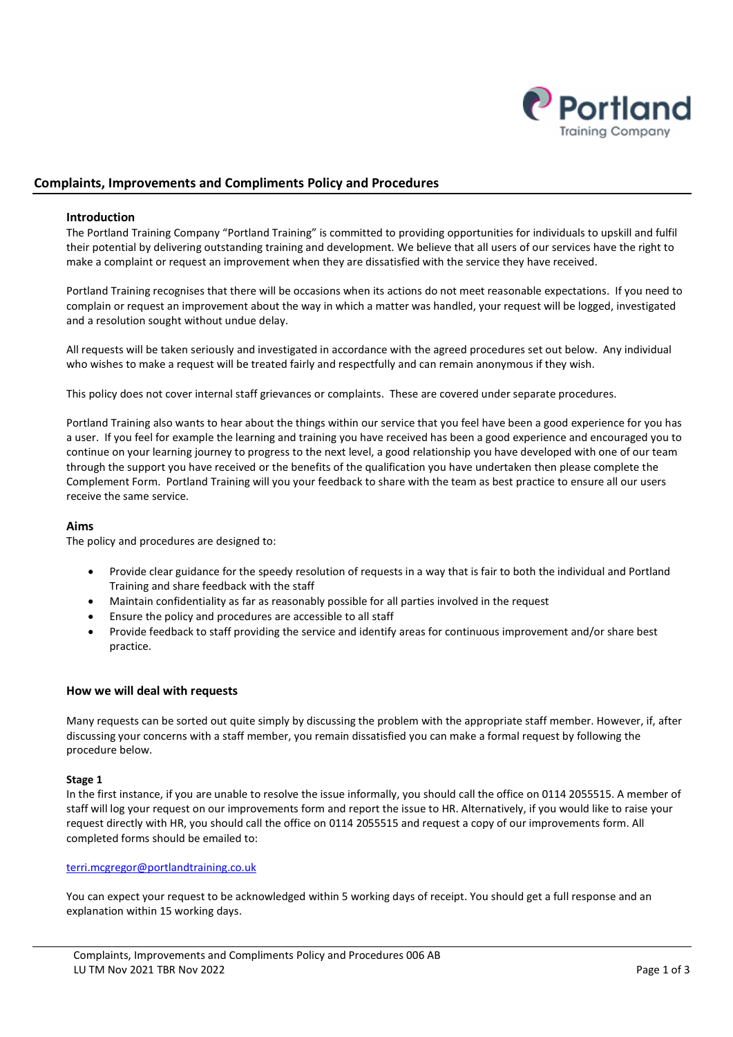

# Complaints, Improvements and Compliments Policy and Procedures

### Introduction

The Portland Training Company "Portland Training" is committed to providing opportunities for individuals to upskill and fulfil their potential by delivering outstanding training and development. We believe that all users of our services have the right to make a complaint or request an improvement when they are dissatisfied with the service they have received.

Portland Training recognises that there will be occasions when its actions do not meet reasonable expectations. If you need to complain or request an improvement about the way in which a matter was handled, your request will be logged, investigated and a resolution sought without undue delay.

All requests will be taken seriously and investigated in accordance with the agreed procedures set out below. Any individual who wishes to make a request will be treated fairly and respectfully and can remain anonymous if they wish.

This policy does not cover internal staff grievances or complaints. These are covered under separate procedures.

Portland Training also wants to hear about the things within our service that you feel have been a good experience for you has a user. If you feel for example the learning and training you have received has been a good experience and encouraged you to continue on your learning journey to progress to the next level, a good relationship you have developed with one of our team through the support you have received or the benefits of the qualification you have undertaken then please complete the Complement Form. Portland Training will you your feedback to share with the team as best practice to ensure all our users receive the same service.

### Aims

The policy and procedures are designed to:

- Provide clear guidance for the speedy resolution of requests in a way that is fair to both the individual and Portland Training and share feedback with the staff
- Maintain confidentiality as far as reasonably possible for all parties involved in the request
- Ensure the policy and procedures are accessible to all staff
- Provide feedback to staff providing the service and identify areas for continuous improvement and/or share best practice.

### How we will deal with requests

Many requests can be sorted out quite simply by discussing the problem with the appropriate staff member. However, if, after discussing your concerns with a staff member, you remain dissatisfied you can make a formal request by following the procedure below.

### Stage 1

In the first instance, if you are unable to resolve the issue informally, you should call the office on 0114 2055515. A member of staff will log your request on our improvements form and report the issue to HR. Alternatively, if you would like to raise your request directly with HR, you should call the office on 0114 2055515 and request a copy of our improvements form. All completed forms should be emailed to:

#### terri.mcgregor@portlandtraining.co.uk

You can expect your request to be acknowledged within 5 working days of receipt. You should get a full response and an explanation within 15 working days.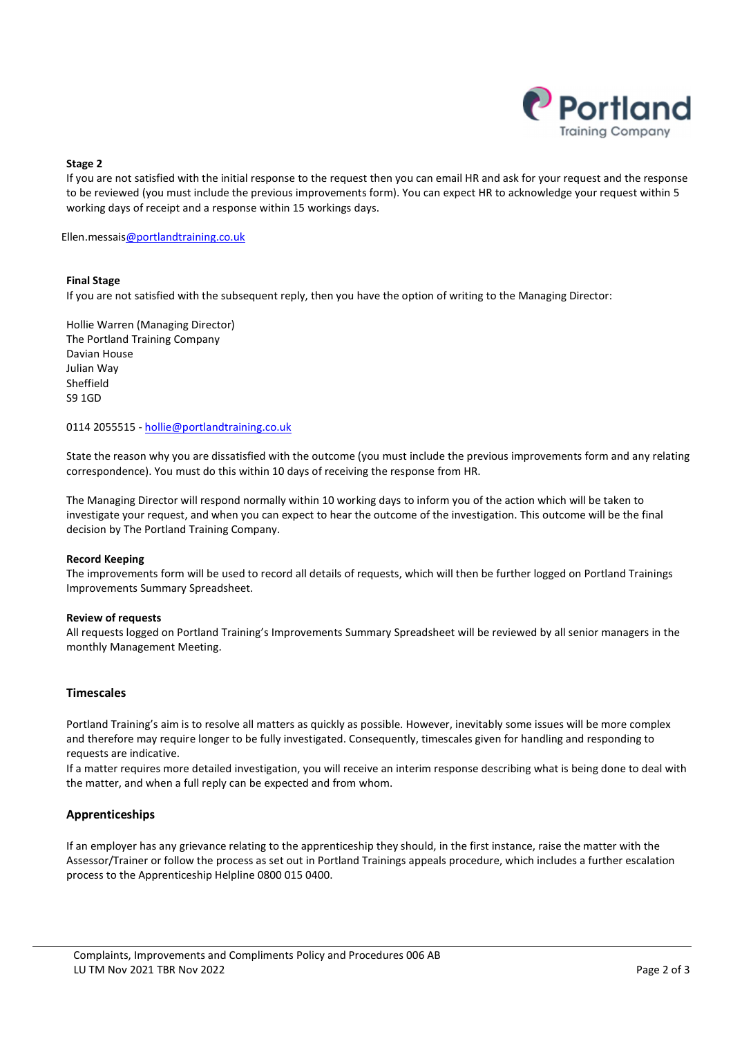

### Stage 2

If you are not satisfied with the initial response to the request then you can email HR and ask for your request and the response to be reviewed (you must include the previous improvements form). You can expect HR to acknowledge your request within 5 working days of receipt and a response within 15 workings days.

Ellen.messais@portlandtraining.co.uk

### Final Stage

If you are not satisfied with the subsequent reply, then you have the option of writing to the Managing Director:

Hollie Warren (Managing Director) The Portland Training Company Davian House Julian Way Sheffield S9 1GD

0114 2055515 - hollie@portlandtraining.co.uk

State the reason why you are dissatisfied with the outcome (you must include the previous improvements form and any relating correspondence). You must do this within 10 days of receiving the response from HR.

The Managing Director will respond normally within 10 working days to inform you of the action which will be taken to investigate your request, and when you can expect to hear the outcome of the investigation. This outcome will be the final decision by The Portland Training Company.

### Record Keeping

The improvements form will be used to record all details of requests, which will then be further logged on Portland Trainings Improvements Summary Spreadsheet.

### Review of requests

All requests logged on Portland Training's Improvements Summary Spreadsheet will be reviewed by all senior managers in the monthly Management Meeting.

### Timescales

Portland Training's aim is to resolve all matters as quickly as possible. However, inevitably some issues will be more complex and therefore may require longer to be fully investigated. Consequently, timescales given for handling and responding to requests are indicative.

If a matter requires more detailed investigation, you will receive an interim response describing what is being done to deal with the matter, and when a full reply can be expected and from whom.

### Apprenticeships

If an employer has any grievance relating to the apprenticeship they should, in the first instance, raise the matter with the Assessor/Trainer or follow the process as set out in Portland Trainings appeals procedure, which includes a further escalation process to the Apprenticeship Helpline 0800 015 0400.